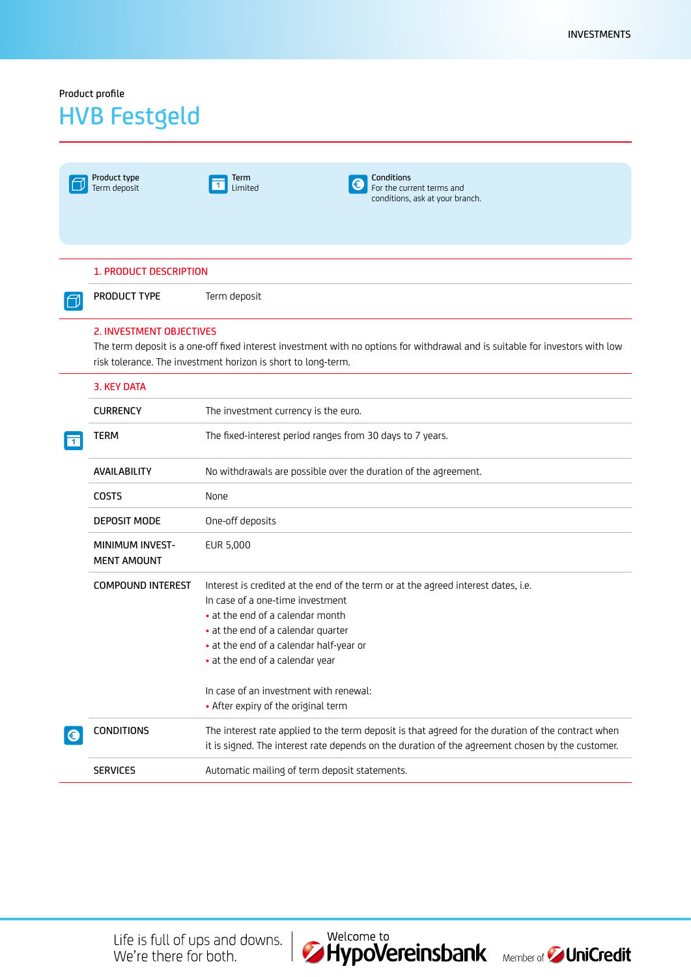## Product profile

## HVB Festgeld

|              | Product type<br>Term deposit                 | <b>Conditions</b><br>Term<br>For the current terms and<br>Limited<br>conditions, ask at your branch.                                                                                                                                                                          |
|--------------|----------------------------------------------|-------------------------------------------------------------------------------------------------------------------------------------------------------------------------------------------------------------------------------------------------------------------------------|
|              | <b>1. PRODUCT DESCRIPTION</b>                |                                                                                                                                                                                                                                                                               |
|              | <b>PRODUCT TYPE</b>                          | Term deposit                                                                                                                                                                                                                                                                  |
|              | 2. INVESTMENT OBJECTIVES                     | The term deposit is a one-off fixed interest investment with no options for withdrawal and is suitable for investors with low<br>risk tolerance. The investment horizon is short to long-term.                                                                                |
|              | 3. KEY DATA                                  |                                                                                                                                                                                                                                                                               |
|              | <b>CURRENCY</b>                              | The investment currency is the euro.                                                                                                                                                                                                                                          |
| $\mathbf{1}$ | TERM                                         | The fixed-interest period ranges from 30 days to 7 years.                                                                                                                                                                                                                     |
|              | AVAILABILITY                                 | No withdrawals are possible over the duration of the agreement.                                                                                                                                                                                                               |
|              | <b>COSTS</b>                                 | None                                                                                                                                                                                                                                                                          |
|              | <b>DEPOSIT MODE</b>                          | One-off deposits                                                                                                                                                                                                                                                              |
|              | <b>MINIMUM INVEST-</b><br><b>MENT AMOUNT</b> | EUR 5,000                                                                                                                                                                                                                                                                     |
|              | <b>COMPOUND INTEREST</b>                     | Interest is credited at the end of the term or at the agreed interest dates, i.e.<br>In case of a one-time investment<br>• at the end of a calendar month<br>• at the end of a calendar quarter<br>• at the end of a calendar half-year or<br>• at the end of a calendar year |
|              |                                              | In case of an investment with renewal:<br>• After expiry of the original term                                                                                                                                                                                                 |
| €            | <b>CONDITIONS</b>                            | The interest rate applied to the term deposit is that agreed for the duration of the contract when<br>it is signed. The interest rate depends on the duration of the agreement chosen by the customer.                                                                        |
|              | <b>SERVICES</b>                              | Automatic mailing of term deposit statements.                                                                                                                                                                                                                                 |